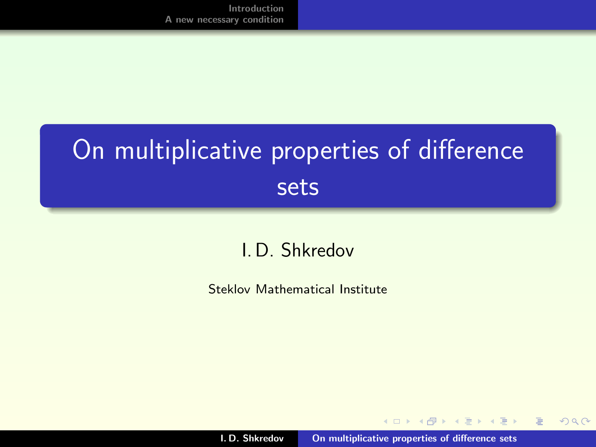## On multiplicative properties of difference sets

#### I. D. Shkredov

Steklov Mathematical Institute

 $4$   $\Box$   $\rightarrow$ 

A + + = + + = +

<span id="page-0-0"></span> $2Q$ 

后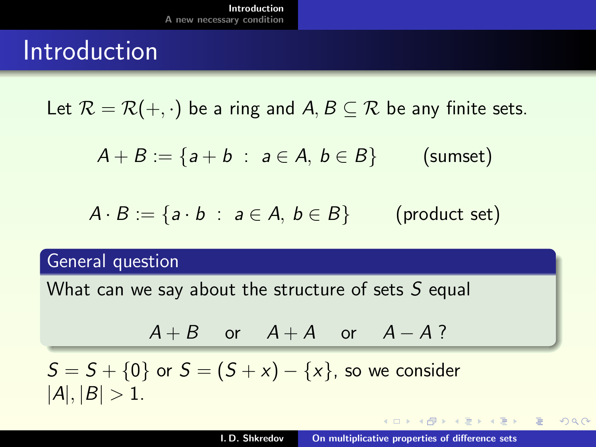### Introduction

Let  $\mathcal{R} = \mathcal{R}(+, \cdot)$  be a ring and  $A, B \subset \mathcal{R}$  be any finite sets.

$$
A + B := \{a + b : a \in A, b \in B\} \qquad \text{(sumset)}
$$

$$
A \cdot B := \{ a \cdot b \; : \; a \in A, \, b \in B \} \qquad \text{(product set)}
$$

#### General question

What can we say about the structure of sets  $S$  equal

$$
A+B \quad \text{or} \quad A+A \quad \text{or} \quad A-A?
$$

 $S = S + \{0\}$  or  $S = (S + x) - \{x\}$ , so we consider  $|A|, |B| > 1.$ 

<span id="page-1-0"></span>メタト メミト メミトー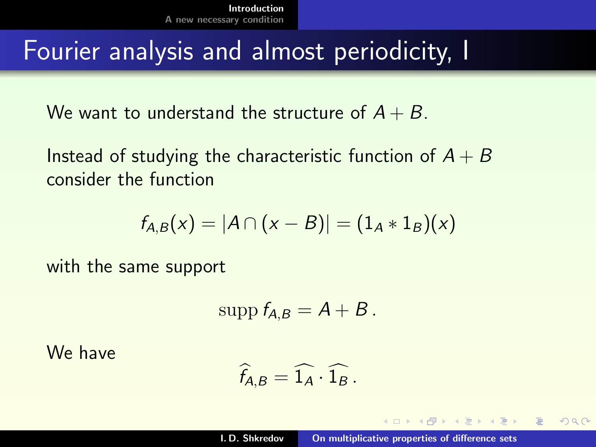### Fourier analysis and almost periodicity, I

We want to understand the structure of  $A + B$ .

Instead of studying the characteristic function of  $A + B$ consider the function

$$
f_{A,B}(x) = |A \cap (x - B)| = (1_A * 1_B)(x)
$$

with the same support

$$
\mathrm{supp}\, f_{A,B}=A+B.
$$

We have

$$
\widehat{f}_{A,B} = \widehat{1_A} \cdot \widehat{1_B} \, .
$$

**NATION**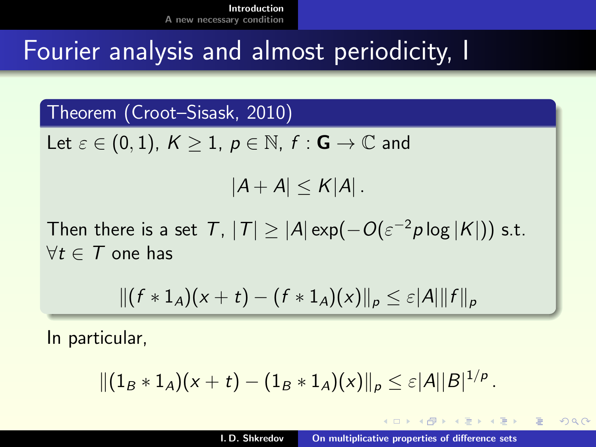### Fourier analysis and almost periodicity, I

Theorem (Croot–Sisask, 2010)

Let  $\varepsilon \in (0,1)$ ,  $K \geq 1$ ,  $p \in \mathbb{N}$ ,  $f : \mathbf{G} \to \mathbb{C}$  and

 $|A + A| < K |A|$ .

Then there is a set  $|{\cal T}|,~|{\cal T}| \geq |{\cal A}| \exp(-O(\varepsilon^{-2} p \log |{\cal K}|))$  s.t.  $\forall t \in \mathcal{T}$  one has

$$
||(f * 1_A)(x + t) - (f * 1_A)(x)||_p \leq \varepsilon |A| ||f||_p
$$

In particular,

$$
\|(1_B * 1_A)(x + t) - (1_B * 1_A)(x)\|_p \leq \varepsilon |A||B|^{1/p}.
$$

 $\mathcal{A} \leftarrow \mathcal{A} \oplus \mathcal{A} \oplus \mathcal{A} \oplus \mathcal{A}$ 

つくい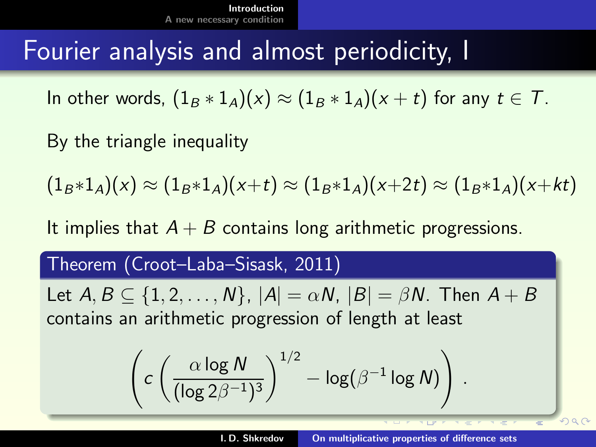### Fourier analysis and almost periodicity, I

In other words,  $(1_B * 1_A)(x) \approx (1_B * 1_A)(x + t)$  for any  $t \in \mathcal{T}$ .

By the triangle inequality

 $(1_B * 1_A)(x) \approx (1_B * 1_A)(x+t) \approx (1_B * 1_A)(x+2t) \approx (1_B * 1_A)(x+kt)$ 

It implies that  $A + B$  contains long arithmetic progressions.

#### Theorem (Croot–Laba–Sisask, 2011)

Let  $A, B \subseteq \{1, 2, \ldots, N\}, |A| = \alpha N, |B| = \beta N$ . Then  $A + B$ contains an arithmetic progression of length at least

$$
\left(c\left(\frac{\alpha\log N}{(\log 2\beta^{-1})^3}\right)^{1/2}-\log(\beta^{-1}\log N)\right)
$$

.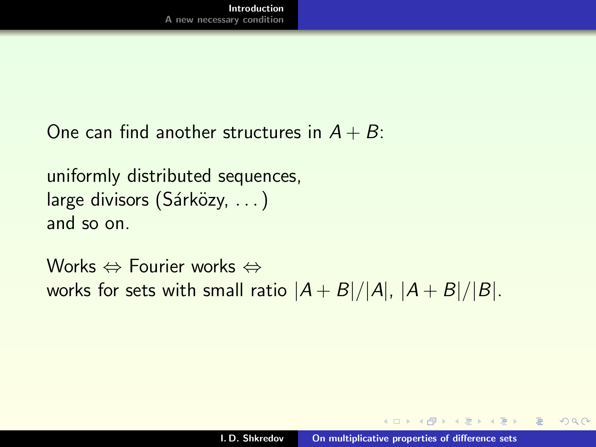```
One can find another structures in A + B:
```

```
uniformly distributed sequences,
large divisors (Sárközy, ...)
and so on.
```
Works ⇔ Fourier works ⇔ works for sets with small ratio  $|A + B|/|A|$ ,  $|A + B|/|B|$ .

A + + = + + = +

つくい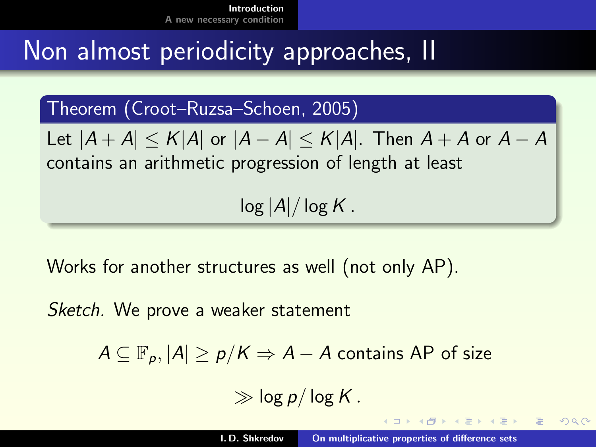### Non almost periodicity approaches, II

Theorem (Croot–Ruzsa–Schoen, 2005)

Let  $|A + A| \leq K|A|$  or  $|A - A| \leq K|A|$ . Then  $A + A$  or  $A - A$ contains an arithmetic progression of length at least

 $log |A|/log K$ .

Works for another structures as well (not only AP).

Sketch. We prove a weaker statement

 $A \subseteq \mathbb{F}_p, |A| \geq p/K \Rightarrow A - A$  contains AP of size

 $\gg$  log p/log K.

イロメ イ押 トラ ミュート・エ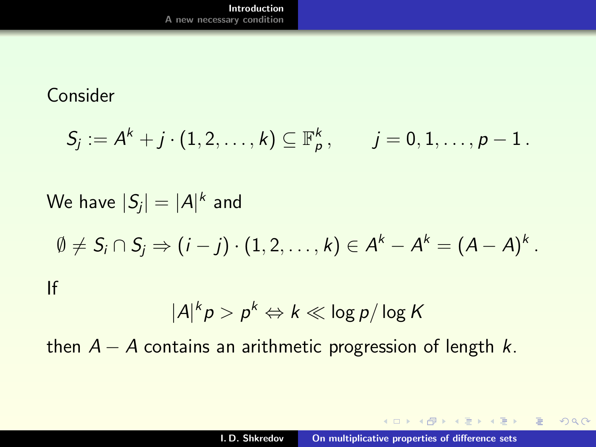#### Consider

$$
S_j := A^k + j \cdot (1,2,\ldots,k) \subseteq \mathbb{F}_p^k, \qquad j = 0,1,\ldots,p-1.
$$

# We have  $\vert S_{j}\vert =\vert A\vert^{k}$  and  $\emptyset \neq \mathcal{S}_i \cap \mathcal{S}_j \Rightarrow (i-j) \cdot (1,2,\ldots,k) \in \mathcal{A}^k - \mathcal{A}^k = (\mathcal{A} - \mathcal{A})^k \,.$ If  $|A|^k p > p^k \Leftrightarrow k \ll \log p / \log K$

then  $A - A$  contains an arithmetic progression of length k.

イロメ イ押 トラ ミュート・エ

 $2Q$ 

 $\equiv$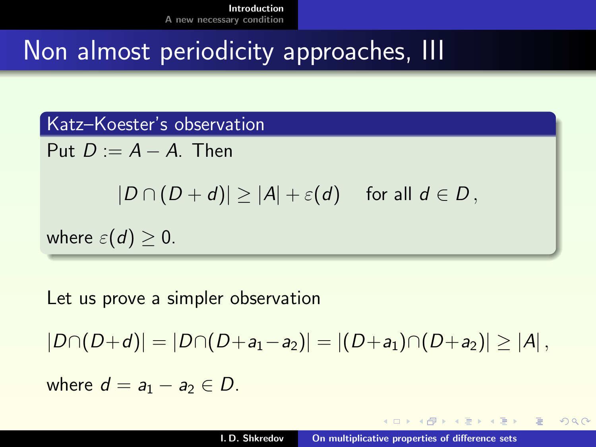### Non almost periodicity approaches, III

Katz–Koester's observation Put  $D := A - A$ . Then  $|D \cap (D + d)| > |A| + \varepsilon(d)$  for all  $d \in D$ , where  $\varepsilon(d) \geq 0$ .

Let us prove a simpler observation

$$
|D \cap (D+d)| = |D \cap (D+a_1-a_2)| = |(D+a_1) \cap (D+a_2)| \ge |A|,
$$

where  $d = a_1 - a_2 \in D$ .

 $A \cap \overline{A} \cap A = A \cap A = A$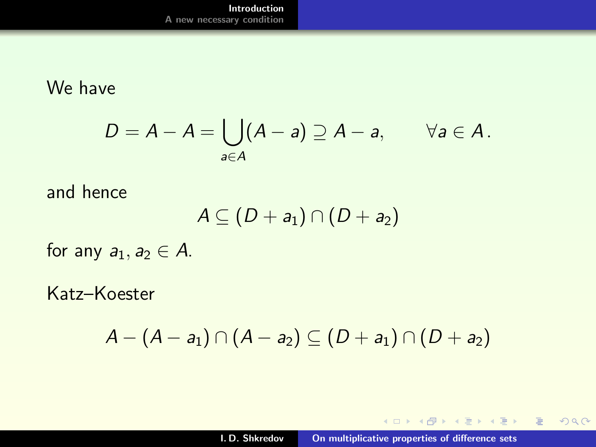We have

$$
D=A-A=\bigcup_{a\in A}(A-a)\supseteq A-a,\qquad \forall a\in A.
$$

and hence

$$
A\subseteq (D+a_1)\cap (D+a_2)
$$

for any  $a_1, a_2 \in A$ .

Katz–Koester

$$
A-(A-a_1)\cap (A-a_2)\subseteq (D+a_1)\cap (D+a_2)
$$

K ロ ▶ K 個 ▶ K 君 ▶ K 君 ▶ ...

 $\equiv$ 

 $299$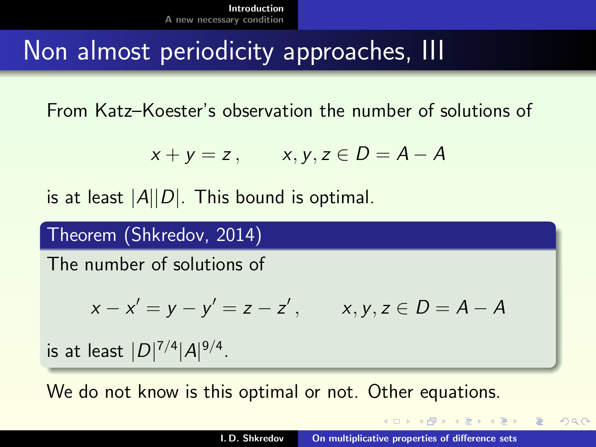### Non almost periodicity approaches, III

From Katz–Koester's observation the number of solutions of

$$
x + y = z, \qquad x, y, z \in D = A - A
$$

is at least  $|A||D|$ . This bound is optimal.

Theorem (Shkredov, 2014)

The number of solutions of

$$
x - x' = y - y' = z - z'
$$
,  $x, y, z \in D = A - A$ 

is at least  $|D|^{7/4}|A|^{9/4}$ .

We do not know is this optimal or not. Other equations.

<span id="page-10-0"></span> $(1, 1)$   $(1, 1)$   $(1, 1)$   $(1, 1)$   $(1, 1)$   $(1, 1)$   $(1, 1)$   $(1, 1)$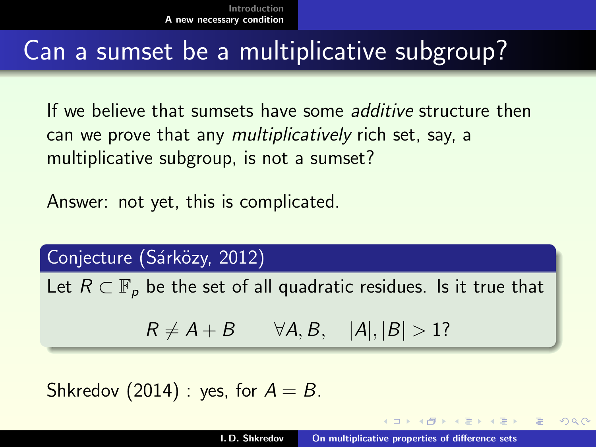### Can a sumset be a multiplicative subgroup?

If we believe that sumsets have some additive structure then can we prove that any multiplicatively rich set, say, a multiplicative subgroup, is not a sumset?

Answer: not yet, this is complicated.

Conjecture (Sárközy, 2012)

Let  $R \subset \mathbb{F}_p$  be the set of all quadratic residues. Is it true that

 $R \neq A + B$   $\forall A, B, |A|, |B| > 1?$ 

Shkredov (2014) : yes, for  $A = B$ .

<span id="page-11-0"></span> $290$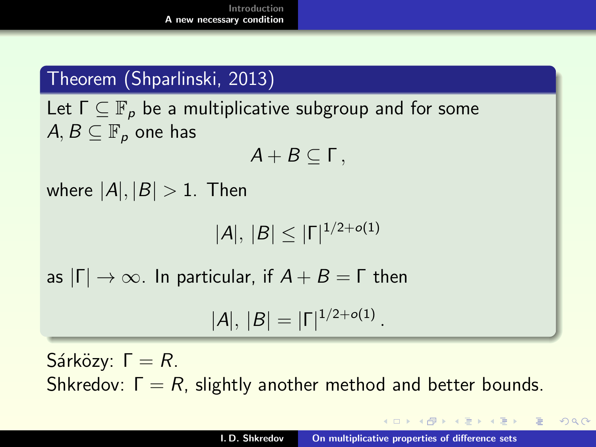#### Theorem (Shparlinski, 2013)

Let  $\Gamma \subset \mathbb{F}_p$  be a multiplicative subgroup and for some  $A, B \subseteq \mathbb{F}_p$  one has

$$
A+B\subseteq \Gamma\,,
$$

where  $|A|, |B| > 1$ . Then

$$
|A|, |B| \leq |\Gamma|^{1/2 + o(1)}
$$

as  $|\Gamma| \to \infty$ . In particular, if  $A + B = \Gamma$  then

$$
|A|, |B| = |\Gamma|^{1/2 + o(1)}.
$$

Sárközy:  $Γ = R$ . Shkredov:  $\Gamma = R$ , slightly another method and better bounds.

K ロ ▶ K 御 ▶ K 君 ▶ K 君 ▶ ...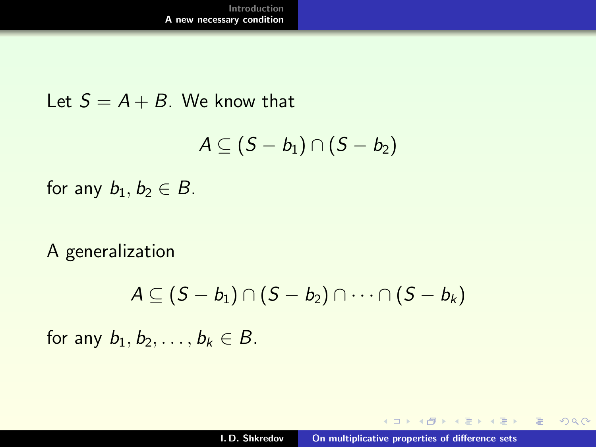Let  $S = A + B$ . We know that

$$
A\subseteq (S-b_1)\cap (S-b_2)
$$

for any  $b_1, b_2 \in B$ .

A generalization

$$
A \subseteq (S - b_1) \cap (S - b_2) \cap \cdots \cap (S - b_k)
$$

for any  $b_1, b_2, \ldots, b_k \in B$ .

 $4.171 - 6$ 

 $\langle \oplus \rangle$   $\rightarrow$   $\langle \oplus \rangle$   $\rightarrow$   $\langle \oplus \rangle$ 

目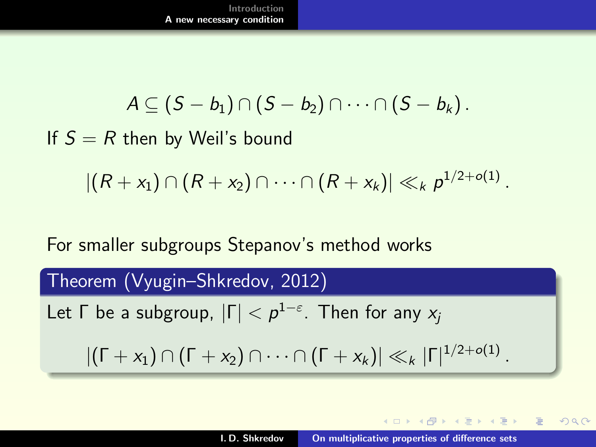$$
A\subseteq (S-b_1)\cap (S-b_2)\cap \cdots \cap (S-b_k).
$$

If  $S = R$  then by Weil's bound

$$
|(R+x_1)\cap (R+x_2)\cap \cdots \cap (R+x_k)|\ll_k p^{1/2+o(1)}.
$$

For smaller subgroups Stepanov's method works

Theorem (Vyugin–Shkredov, 2012)

\nLet 
$$
\Gamma
$$
 be a subgroup,  $|\Gamma| < p^{1-\varepsilon}$ . Then for any  $x_j$ .

\n $|(\Gamma + x_1) \cap (\Gamma + x_2) \cap \cdots \cap (\Gamma + x_k)| \ll_k |\Gamma|^{1/2 + o(1)}$ .

 $4.17 \times$ 

 $\langle \oplus \rangle$   $\rightarrow$   $\langle \oplus \rangle$   $\rightarrow$   $\langle \oplus \rangle$ 

 $2Q$ 

目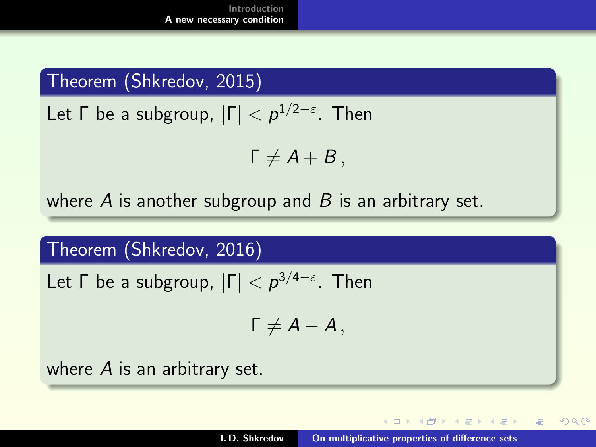#### Theorem (Shkredov, 2015)

Let  $\Gamma$  be a subgroup,  $|\Gamma| < p^{1/2-\varepsilon}.$  Then

$$
\Gamma \neq A+B\,,
$$

where A is another subgroup and B is an arbitrary set.

Theorem (Shkredov, 2016)

Let  $\Gamma$  be a subgroup,  $|\Gamma| < p^{3/4-\varepsilon}$ . Then

$$
\Gamma \neq A-A\,,
$$

where A is an arbitrary set.

 $4.013.4.013.4.733.4.733$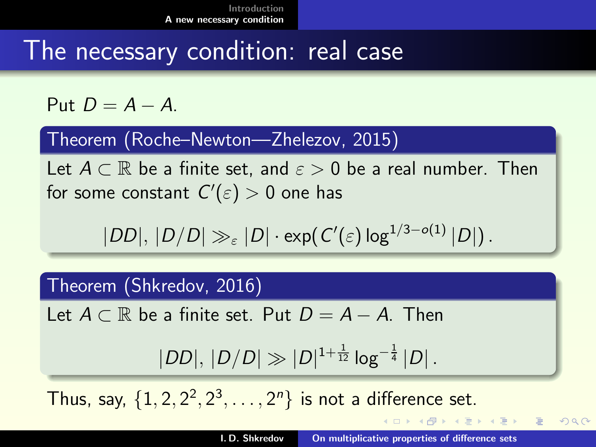### The necessary condition: real case

Put  $D = A - A$ 

Theorem (Roche–Newton—Zhelezov, 2015)

Let  $A \subset \mathbb{R}$  be a finite set, and  $\varepsilon > 0$  be a real number. Then for some constant  $C'(\varepsilon)>0$  one has

$$
|DD|, |D/D| \gg_{\varepsilon} |D| \cdot \exp(\,C'(\varepsilon) \log^{1/3 - o(1)} |D|) \,.
$$

Theorem (Shkredov, 2016)

Let  $A \subset \mathbb{R}$  be a finite set. Put  $D = A - A$ . Then

$$
|DD|, |D/D| \gg |D|^{1+\frac{1}{12}} \log^{-\frac{1}{4}} |D|.
$$

Thus, say,  $\{1, 2, 2^2, 2^3, \ldots, 2^n\}$  is not a difference set.

**≮ 伊 ≯ ( ミ ≯ ( ミ )** 

つくい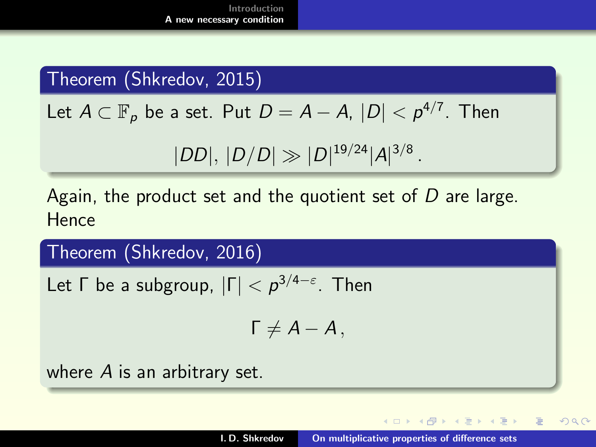#### Theorem (Shkredov, 2015)

Let  $A \subset \mathbb{F}_p$  be a set. Put  $D = A - A$ ,  $|D| < p^{4/7}$ . Then

$$
|DD|, |D/D| \gg |D|^{19/24} |A|^{3/8}.
$$

Again, the product set and the quotient set of  $D$  are large. **Hence** 

Theorem (Shkredov, 2016)

Let  $\Gamma$  be a subgroup,  $|\Gamma| < p^{3/4-\varepsilon}$ . Then

$$
\Gamma \neq A-A\,,
$$

where A is an arbitrary set.

 $A \cap B$   $A \cap B$   $B \cap A$   $B \cap B$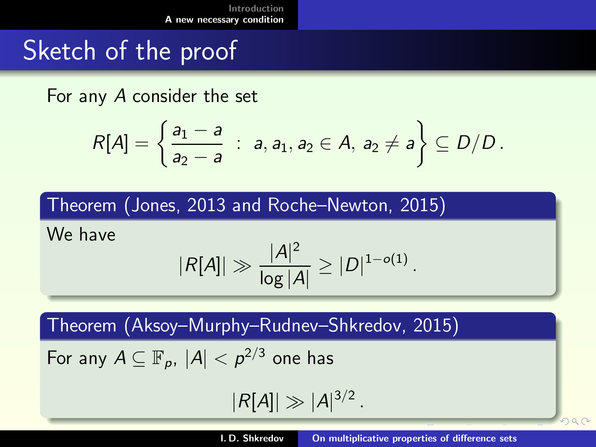### Sketch of the proof

For any A consider the set

$$
R[A] = \left\{ \frac{a_1 - a}{a_2 - a} : a, a_1, a_2 \in A, a_2 \neq a \right\} \subseteq D/D.
$$

Theorem (Jones, 2013 and Roche–Newton, 2015)

We have

$$
|R[A]| \gg \frac{|A|^2}{\log |A|} \ge |D|^{1-o(1)}.
$$

Theorem (Aksoy–Murphy–Rudnev–Shkredov, 2015)

For any 
$$
A \subseteq \mathbb{F}_p
$$
,  $|A| < p^{2/3}$  one has

 $|R[A]| \gg |A|^{3/2}$ .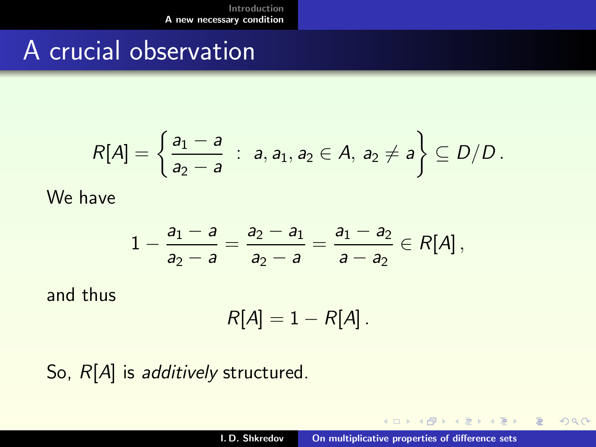### A crucial observation

$$
R[A] = \left\{ \frac{a_1 - a}{a_2 - a} : a, a_1, a_2 \in A, a_2 \neq a \right\} \subseteq D/D.
$$

We have

$$
1-\frac{a_1-a}{a_2-a}=\frac{a_2-a_1}{a_2-a}=\frac{a_1-a_2}{a-a_2}\in R[A],
$$

and thus

$$
R[A]=1-R[A].
$$

So,  $R[A]$  is *additively* structured.

 $4.171 - 6$ 

 $\langle \oplus \rangle$   $\rightarrow$   $\langle \oplus \rangle$   $\rightarrow$   $\langle \oplus \rangle$ 

<span id="page-19-0"></span>目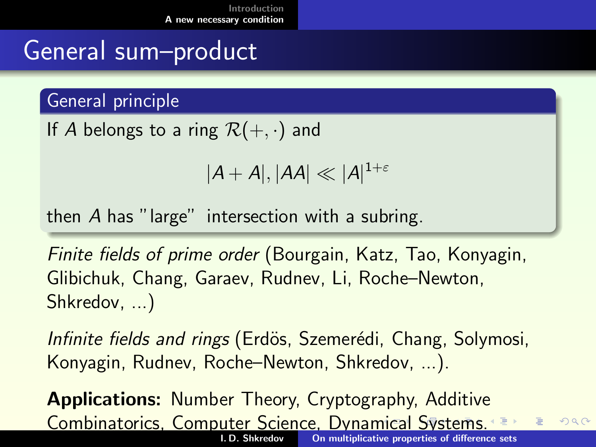### General sum–product

General principle

If A belongs to a ring  $\mathcal{R}(+,\cdot)$  and

<span id="page-20-0"></span>
$$
|A+A|,|AA|\ll |A|^{1+\varepsilon}
$$

then A has "large" intersection with a subring.

Finite fields of prime order (Bourgain, Katz, Tao, Konyagin, Glibichuk, Chang, Garaev, Rudnev, Li, Roche–Newton, Shkredov, ...)

Infinite fields and rings (Erdös, Szemerédi, Chang, Solymosi, Konyagin, Rudnev, Roche–Newton, Shkredov, ...).

Applications: Number Theory, Cryptography, Additive Combinatorics, Computer Science, Dyna[mic](#page-19-0)[al](#page-21-0) [S](#page-19-0)[y](#page-20-0)[st](#page-21-0)[e](#page-10-0)[m](#page-11-0)[s.](#page-26-0)  $2Q$ [On multiplicative properties of difference sets](#page-0-0)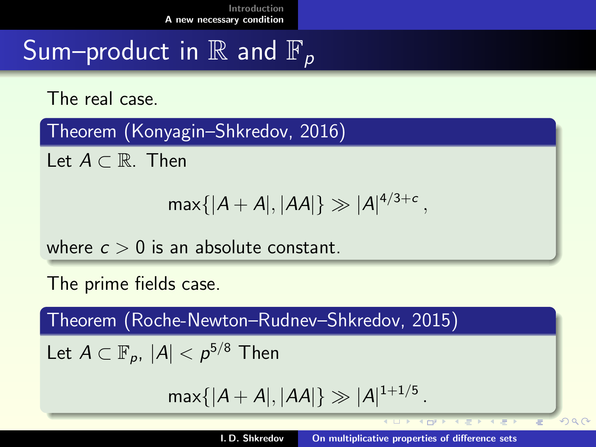### Sum–product in  $\mathbb R$  and  $\mathbb F_p$

The real case.

Theorem (Konyagin–Shkredov, 2016)

Let  $A \subset \mathbb{R}$ . Then

$$
\max\{|A+A|, |AA|\} \gg |A|^{4/3+c} ,
$$

where  $c > 0$  is an absolute constant.

The prime fields case.

Theorem (Roche-Newton–Rudnev–Shkredov, 2015)

Let  $A\subset \mathbb{F}_p, |A| < \rho^{5/8}$  Then

 $\max\{|A + A|, |AA|\} \gg |A|^{1+1/5}$  .

 $\mathcal{A} \cap \mathcal{P} \cap \mathcal{P} \cap \mathcal{A} \neq \mathcal{P} \cap \mathcal{A} \neq \mathcal{P}$ 

<span id="page-21-0"></span> $000$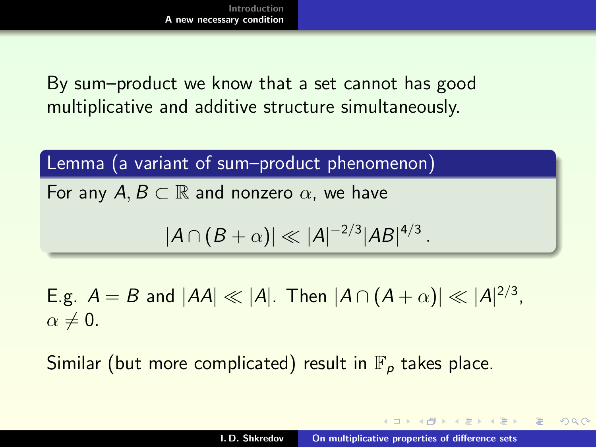By sum–product we know that a set cannot has good multiplicative and additive structure simultaneously.

Lemma (a variant of sum–product phenomenon)

For any  $A, B \subset \mathbb{R}$  and nonzero  $\alpha$ , we have

$$
|A \cap (B + \alpha)| \ll |A|^{-2/3} |AB|^{4/3}.
$$

E.g.  $A = B$  and  $|AA| \ll |A|$ . Then  $|A \cap (A + \alpha)| \ll |A|^{2/3}$ ,  $\alpha \neq 0$ .

Similar (but more complicated) result in  $\mathbb{F}_p$  takes place.

 $A \cap B$   $A \cap A \cap B$   $B \cap A \cap B$   $B$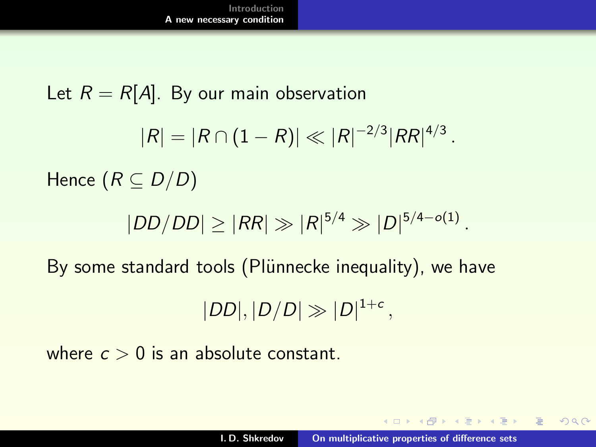Let  $R = R[A]$ . By our main observation  $|R| = |R \cap (1 - R)| \ll |R|^{-2/3} |RR|^{4/3}$  . Hence  $(R \subset D/D)$  $|DD/DD| \geq |RR| \gg |R|^{5/4} \gg |D|^{5/4-o(1)}$ . By some standard tools (Plünnecke inequality), we have  $|DD|, |D/D| \gg |D|^{1+c},$ 

where  $c > 0$  is an absolute constant.

 $A \cap \overline{A} \cup A \cup \overline{A} \cup A \cup \overline{A} \cup A \cup \overline{A}$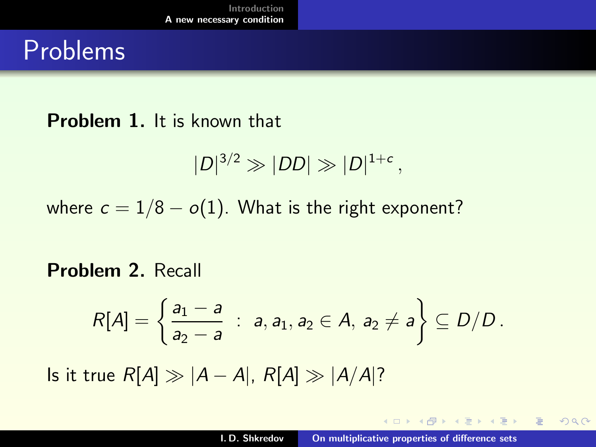### Problems

#### Problem 1. It is known that

$$
|D|^{3/2}\gg|DD|\gg|D|^{1+c},
$$

where  $c = 1/8 - o(1)$ . What is the right exponent?

#### Problem 2. Recall

$$
R[A] = \left\{ \frac{a_1 - a}{a_2 - a} : a, a_1, a_2 \in A, a_2 \neq a \right\} \subseteq D/D.
$$

Is it true  $R[A] \gg |A - A|$ ,  $R[A] \gg |A/A|$ ?

 $4.171 - 6$ 

→ イ団 ▶ → ミ ▶ → ミ ▶ →

 $\equiv$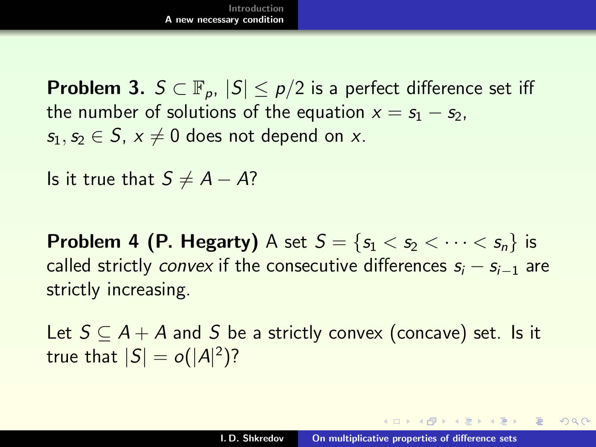**Problem 3.**  $S \subset \mathbb{F}_{p}$ ,  $|S| \leq p/2$  is a perfect difference set iff the number of solutions of the equation  $x = s_1 - s_2$ ,  $s_1, s_2 \in S$ ,  $x \neq 0$  does not depend on x.

Is it true that  $S \neq A - A$ ?

**Problem 4 (P. Hegarty)** A set  $S = \{s_1 < s_2 < \cdots < s_n\}$  is called strictly *convex* if the consecutive differences  $s_i - s_{i-1}$  are strictly increasing.

Let  $S \subseteq A + A$  and S be a strictly convex (concave) set. Is it true that  $|S| = o(|A|^2)?$ 

 $4.60 \times 4.75 \times 4.75 \times$